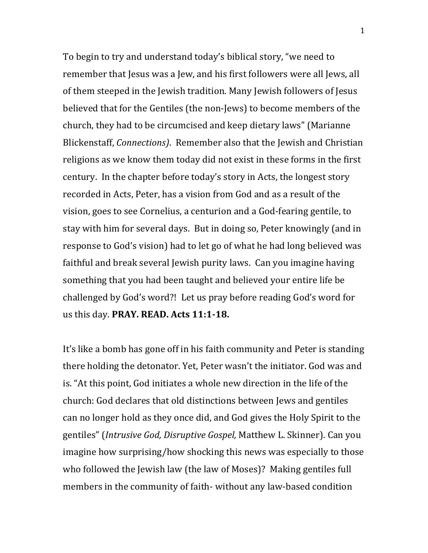To begin to try and understand today's biblical story, "we need to remember that Jesus was a Jew, and his first followers were all Jews, all of them steeped in the Jewish tradition. Many Jewish followers of Jesus believed that for the Gentiles (the non-Jews) to become members of the church, they had to be circumcised and keep dietary laws" (Marianne Blickenstaff, *Connections*). Remember also that the Jewish and Christian religions as we know them today did not exist in these forms in the first century. In the chapter before today's story in Acts, the longest story recorded in Acts, Peter, has a vision from God and as a result of the vision, goes to see Cornelius, a centurion and a God-fearing gentile, to stay with him for several days. But in doing so, Peter knowingly (and in response to God's vision) had to let go of what he had long believed was faithful and break several Jewish purity laws. Can you imagine having something that you had been taught and believed your entire life be challenged by God's word?! Let us pray before reading God's word for us this day. **PRAY. READ. Acts 11:1-18.** 

It's like a bomb has gone off in his faith community and Peter is standing there holding the detonator. Yet, Peter wasn't the initiator. God was and is. "At this point, God initiates a whole new direction in the life of the church: God declares that old distinctions between Jews and gentiles can no longer hold as they once did, and God gives the Holy Spirit to the gentiles" (*Intrusive God, Disruptive Gospel,* Matthew L. Skinner). Can you imagine how surprising/how shocking this news was especially to those who followed the Jewish law (the law of Moses)? Making gentiles full members in the community of faith- without any law-based condition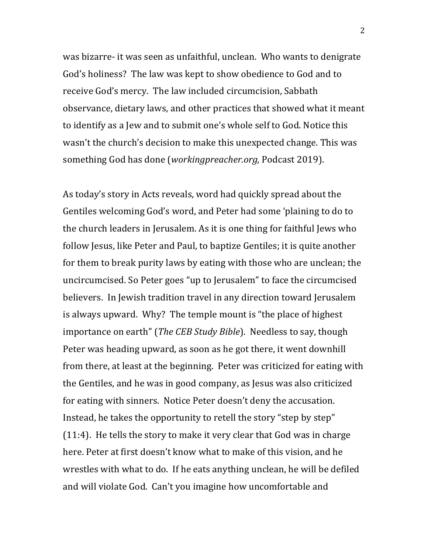was bizarre- it was seen as unfaithful, unclean. Who wants to denigrate God's holiness? The law was kept to show obedience to God and to receive God's mercy. The law included circumcision, Sabbath observance, dietary laws, and other practices that showed what it meant to identify as a Jew and to submit one's whole self to God. Notice this wasn't the church's decision to make this unexpected change. This was something God has done (*workingpreacher.org*, Podcast 2019).

As today's story in Acts reveals, word had quickly spread about the Gentiles welcoming God's word, and Peter had some 'plaining to do to the church leaders in Jerusalem. As it is one thing for faithful Jews who follow Jesus, like Peter and Paul, to baptize Gentiles; it is quite another for them to break purity laws by eating with those who are unclean; the uncircumcised. So Peter goes "up to Jerusalem" to face the circumcised believers. In Jewish tradition travel in any direction toward Jerusalem is always upward. Why? The temple mount is "the place of highest" importance on earth" (*The CEB Study Bible*). Needless to say, though Peter was heading upward, as soon as he got there, it went downhill from there, at least at the beginning. Peter was criticized for eating with the Gentiles, and he was in good company, as Jesus was also criticized for eating with sinners. Notice Peter doesn't deny the accusation. Instead, he takes the opportunity to retell the story "step by step"  $(11:4)$ . He tells the story to make it very clear that God was in charge here. Peter at first doesn't know what to make of this vision, and he wrestles with what to do. If he eats anything unclean, he will be defiled and will violate God. Can't you imagine how uncomfortable and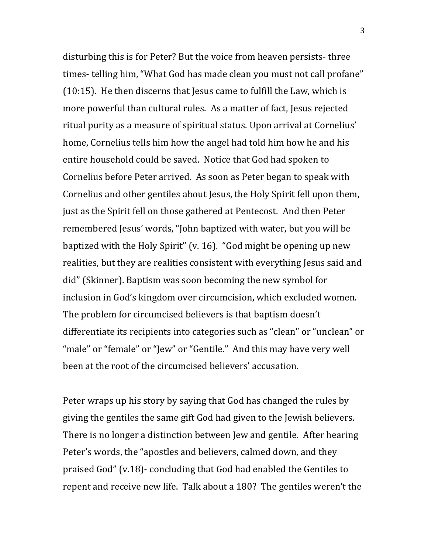disturbing this is for Peter? But the voice from heaven persists- three times- telling him, "What God has made clean you must not call profane"  $(10:15)$ . He then discerns that Jesus came to fulfill the Law, which is more powerful than cultural rules. As a matter of fact, Jesus rejected ritual purity as a measure of spiritual status. Upon arrival at Cornelius' home, Cornelius tells him how the angel had told him how he and his entire household could be saved. Notice that God had spoken to Cornelius before Peter arrived. As soon as Peter began to speak with Cornelius and other gentiles about Jesus, the Holy Spirit fell upon them, just as the Spirit fell on those gathered at Pentecost. And then Peter remembered Jesus' words, "John baptized with water, but you will be baptized with the Holy Spirit" (v. 16). "God might be opening up new realities, but they are realities consistent with everything Jesus said and did" (Skinner). Baptism was soon becoming the new symbol for inclusion in God's kingdom over circumcision, which excluded women. The problem for circumcised believers is that baptism doesn't differentiate its recipients into categories such as "clean" or "unclean" or "male" or "female" or "Jew" or "Gentile." And this may have very well been at the root of the circumcised believers' accusation.

Peter wraps up his story by saying that God has changed the rules by giving the gentiles the same gift God had given to the Jewish believers. There is no longer a distinction between Jew and gentile. After hearing Peter's words, the "apostles and believers, calmed down, and they praised God" (v.18)- concluding that God had enabled the Gentiles to repent and receive new life. Talk about a 180? The gentiles weren't the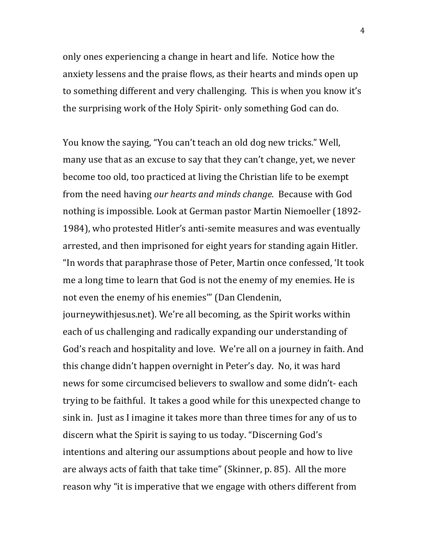only ones experiencing a change in heart and life. Notice how the anxiety lessens and the praise flows, as their hearts and minds open up to something different and very challenging. This is when you know it's the surprising work of the Holy Spirit- only something God can do.

You know the saying, "You can't teach an old dog new tricks." Well, many use that as an excuse to say that they can't change, yet, we never become too old, too practiced at living the Christian life to be exempt from the need having *our hearts and minds change*. Because with God nothing is impossible. Look at German pastor Martin Niemoeller (1892-1984), who protested Hitler's anti-semite measures and was eventually arrested, and then imprisoned for eight years for standing again Hitler. "In words that paraphrase those of Peter, Martin once confessed, 'It took me a long time to learn that God is not the enemy of my enemies. He is not even the enemy of his enemies" (Dan Clendenin,

journeywithjesus.net). We're all becoming, as the Spirit works within each of us challenging and radically expanding our understanding of God's reach and hospitality and love. We're all on a journey in faith. And this change didn't happen overnight in Peter's day. No, it was hard news for some circumcised believers to swallow and some didn't-each trying to be faithful. It takes a good while for this unexpected change to sink in. Just as I imagine it takes more than three times for any of us to discern what the Spirit is saying to us today. "Discerning God's intentions and altering our assumptions about people and how to live are always acts of faith that take time" (Skinner, p. 85). All the more reason why "it is imperative that we engage with others different from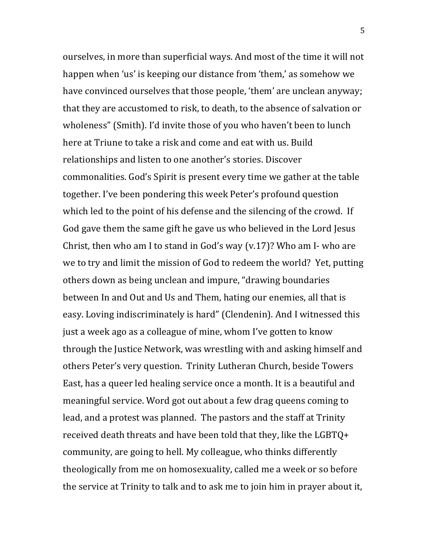ourselves, in more than superficial ways. And most of the time it will not happen when 'us' is keeping our distance from 'them,' as somehow we have convinced ourselves that those people, 'them' are unclean anyway; that they are accustomed to risk, to death, to the absence of salvation or wholeness" (Smith). I'd invite those of you who haven't been to lunch here at Triune to take a risk and come and eat with us. Build relationships and listen to one another's stories. Discover commonalities. God's Spirit is present every time we gather at the table together. I've been pondering this week Peter's profound question which led to the point of his defense and the silencing of the crowd. If God gave them the same gift he gave us who believed in the Lord Jesus Christ, then who am I to stand in God's way  $(v.17)$ ? Who am I- who are we to try and limit the mission of God to redeem the world? Yet, putting others down as being unclean and impure, "drawing boundaries between In and Out and Us and Them, hating our enemies, all that is easy. Loving indiscriminately is hard" (Clendenin). And I witnessed this just a week ago as a colleague of mine, whom I've gotten to know through the Justice Network, was wrestling with and asking himself and others Peter's very question. Trinity Lutheran Church, beside Towers East, has a queer led healing service once a month. It is a beautiful and meaningful service. Word got out about a few drag queens coming to lead, and a protest was planned. The pastors and the staff at Trinity received death threats and have been told that they, like the  $LGBTQ+$ community, are going to hell. My colleague, who thinks differently theologically from me on homosexuality, called me a week or so before the service at Trinity to talk and to ask me to join him in prayer about it,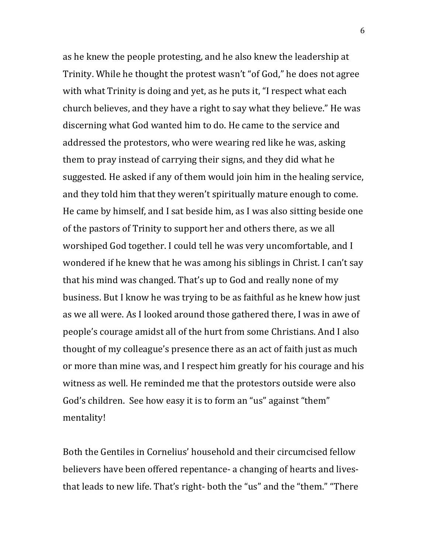as he knew the people protesting, and he also knew the leadership at Trinity. While he thought the protest wasn't "of God," he does not agree with what Trinity is doing and yet, as he puts it, "I respect what each church believes, and they have a right to say what they believe." He was discerning what God wanted him to do. He came to the service and addressed the protestors, who were wearing red like he was, asking them to pray instead of carrying their signs, and they did what he suggested. He asked if any of them would join him in the healing service, and they told him that they weren't spiritually mature enough to come. He came by himself, and I sat beside him, as I was also sitting beside one of the pastors of Trinity to support her and others there, as we all worshiped God together. I could tell he was very uncomfortable, and I wondered if he knew that he was among his siblings in Christ. I can't say that his mind was changed. That's up to God and really none of my business. But I know he was trying to be as faithful as he knew how just as we all were. As I looked around those gathered there, I was in awe of people's courage amidst all of the hurt from some Christians. And I also thought of my colleague's presence there as an act of faith just as much or more than mine was, and I respect him greatly for his courage and his witness as well. He reminded me that the protestors outside were also God's children. See how easy it is to form an "us" against "them" mentality!

Both the Gentiles in Cornelius' household and their circumcised fellow believers have been offered repentance- a changing of hearts and livesthat leads to new life. That's right- both the "us" and the "them." "There